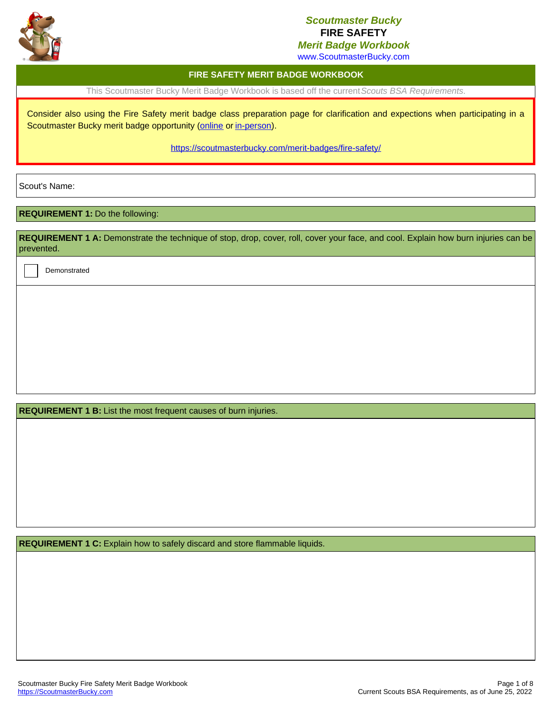

# *Scoutmaster Bucky* **FIRE SAFETY**

*Merit Badge Workbook*

www.ScoutmasterBucky.com

## **FIRE SAFETY MERIT BADGE WORKBOOK**

This Scoutmaster Bucky Merit Badge Workbook is based off the current*Scouts BSA Requirements*.

Consider also using the Fire Safety merit badge class preparation page for clarification and expections when participating in a Scoutmaster Bucky merit badge opportunity ([online](http://localhost:8080/merit-badges/fire-safety/?notes=online) or [in-person](http://localhost:8080/merit-badges/fire-safety/?notes=inPerson)).

<https://scoutmasterbucky.com/merit-badges/fire-safety/>

Scout's Name:

### **REQUIREMENT 1:** Do the following:

REQUIREMENT 1 A: Demonstrate the technique of stop, drop, cover, roll, cover your face, and cool. Explain how burn injuries can be prevented.

Demonstrated

**REQUIREMENT 1 B:** List the most frequent causes of burn injuries.

**REQUIREMENT 1 C:** Explain how to safely discard and store flammable liquids.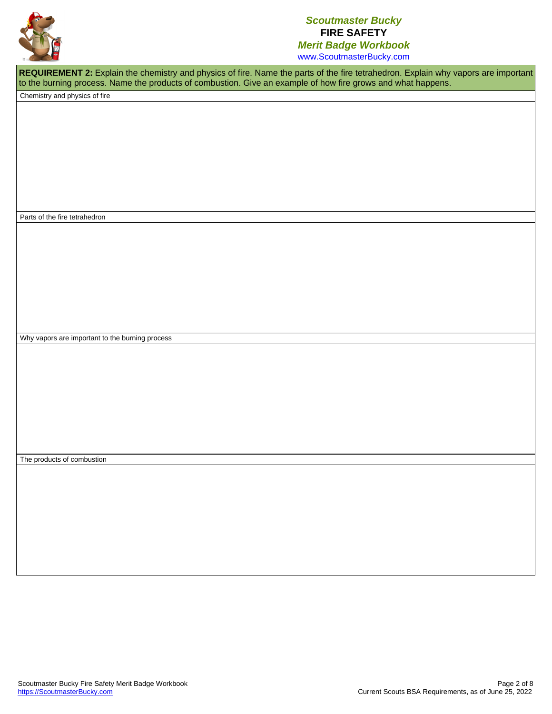

www.ScoutmasterBucky.com

**REQUIREMENT 2:** Explain the chemistry and physics of fire. Name the parts of the fire tetrahedron. Explain why vapors are important to the burning process. Name the products of combustion. Give an example of how fire grows and what happens.

Chemistry and physics of fire

Parts of the fire tetrahedron

Why vapors are important to the burning process

The products of combustion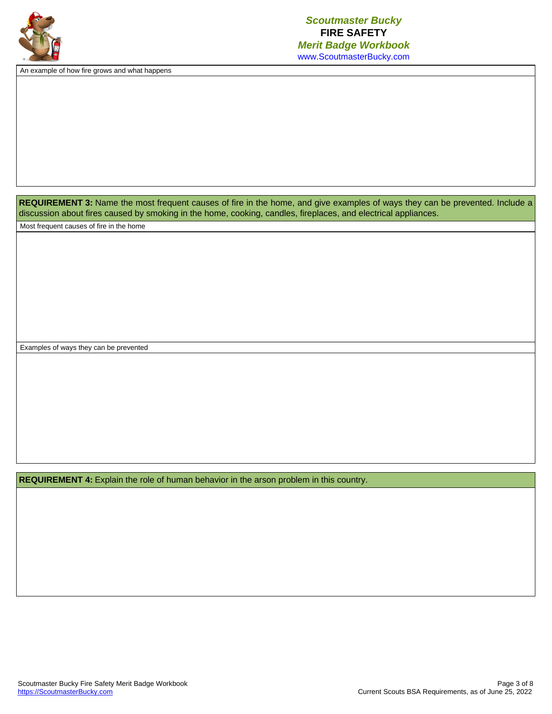

An example of how fire grows and what happens

REQUIREMENT 3: Name the most frequent causes of fire in the home, and give examples of ways they can be prevented. Include a discussion about fires caused by smoking in the home, cooking, candles, fireplaces, and electrical appliances.

Most frequent causes of fire in the home

Examples of ways they can be prevented

**REQUIREMENT 4:** Explain the role of human behavior in the arson problem in this country.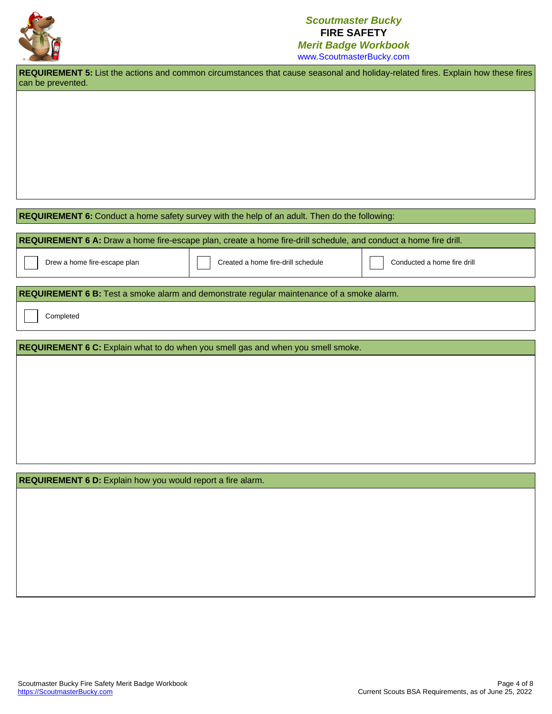

# *Scoutmaster Bucky* **FIRE SAFETY** *Merit Badge Workbook*

www.ScoutmasterBucky.com

REQUIREMENT 5: List the actions and common circumstances that cause seasonal and holiday-related fires. Explain how these fires can be prevented.

### **REQUIREMENT 6:** Conduct a home safety survey with the help of an adult. Then do the following:

**REQUIREMENT 6 A:** Draw a home fire-escape plan, create a home fire-drill schedule, and conduct a home fire drill.

Drew a home fire-escape plan Created a home fire-drill schedule Conducted a home fire drill

#### **REQUIREMENT 6 B:** Test a smoke alarm and demonstrate regular maintenance of a smoke alarm.

Completed

**REQUIREMENT 6 C:** Explain what to do when you smell gas and when you smell smoke.

**REQUIREMENT 6 D:** Explain how you would report a fire alarm.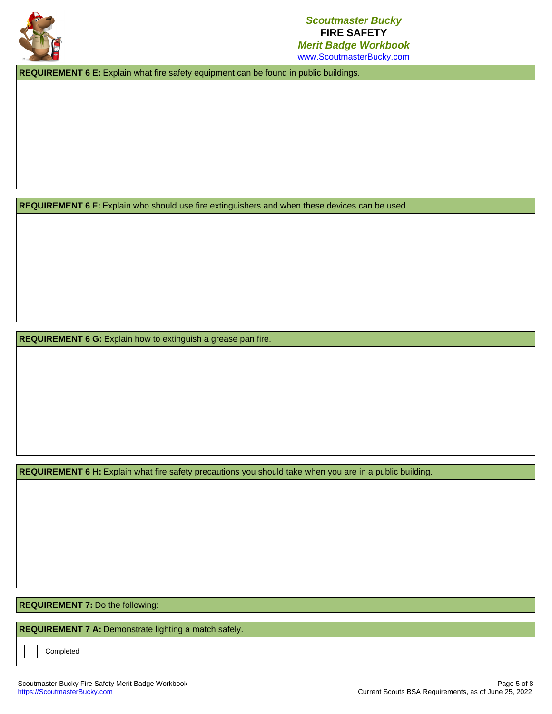

**REQUIREMENT 6 E:** Explain what fire safety equipment can be found in public buildings.

**REQUIREMENT 6 F:** Explain who should use fire extinguishers and when these devices can be used.

**REQUIREMENT 6 G:** Explain how to extinguish a grease pan fire.

**REQUIREMENT 6 H:** Explain what fire safety precautions you should take when you are in a public building.

**REQUIREMENT 7:** Do the following:

**[REQUIREMENT](https://scoutmasterbucky.com) 7 A:** Demonstrate lighting a match safely.

Completed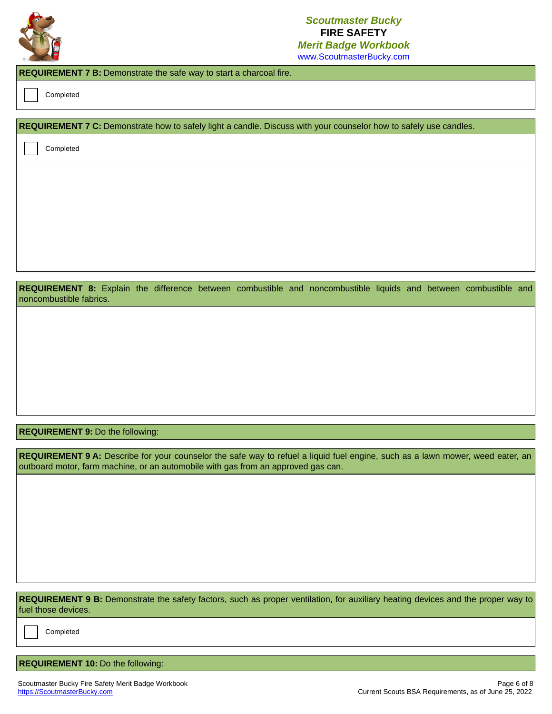

# *Scoutmaster Bucky* **FIRE SAFETY** *Merit Badge Workbook*

www.ScoutmasterBucky.com

### **REQUIREMENT 7 B:** Demonstrate the safe way to start a charcoal fire.

Completed

#### **REQUIREMENT 7 C:** Demonstrate how to safely light a candle. Discuss with your counselor how to safely use candles.

Completed

**REQUIREMENT 8:** Explain the difference between combustible and noncombustible liquids and between combustible and noncombustible fabrics.

### **REQUIREMENT 9:** Do the following:

**REQUIREMENT 9 A:** Describe for your counselor the safe way to refuel a liquid fuel engine, such as a lawn mower, weed eater, an outboard motor, farm machine, or an automobile with gas from an approved gas can.

**REQUIREMENT 9 B:** Demonstrate the safety factors, such as proper ventilation, for auxiliary heating devices and the proper way to fuel those devices.

[Completed](https://scoutmasterbucky.com)

## **REQUIREMENT 10:** Do the following: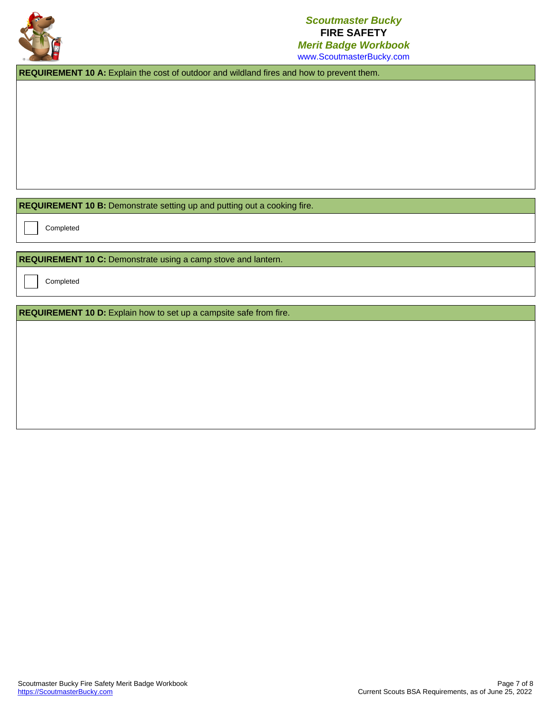

**REQUIREMENT 10 A:** Explain the cost of outdoor and wildland fires and how to prevent them.

**REQUIREMENT 10 B:** Demonstrate setting up and putting out a cooking fire.

Completed

**REQUIREMENT 10 C:** Demonstrate using a camp stove and lantern.

Completed

**REQUIREMENT 10 D:** Explain how to set up a campsite safe from fire.